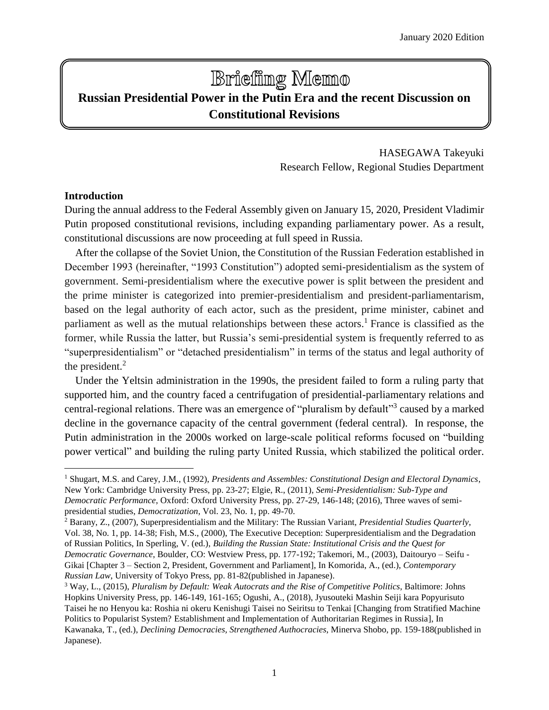# **Brieffing Memo**

## **Russian Presidential Power in the Putin Era and the recent Discussion on Constitutional Revisions**

HASEGAWA Takeyuki Research Fellow, Regional Studies Department

#### **Introduction**

 $\overline{a}$ 

During the annual address to the Federal Assembly given on January 15, 2020, President Vladimir Putin proposed constitutional revisions, including expanding parliamentary power. As a result, constitutional discussions are now proceeding at full speed in Russia.

After the collapse of the Soviet Union, the Constitution of the Russian Federation established in December 1993 (hereinafter, "1993 Constitution") adopted semi-presidentialism as the system of government. Semi-presidentialism where the executive power is split between the president and the prime minister is categorized into premier-presidentialism and president-parliamentarism, based on the legal authority of each actor, such as the president, prime minister, cabinet and parliament as well as the mutual relationships between these actors.<sup>1</sup> France is classified as the former, while Russia the latter, but Russia's semi-presidential system is frequently referred to as "superpresidentialism" or "detached presidentialism" in terms of the status and legal authority of the president. $<sup>2</sup>$ </sup>

Under the Yeltsin administration in the 1990s, the president failed to form a ruling party that supported him, and the country faced a centrifugation of presidential-parliamentary relations and central-regional relations. There was an emergence of "pluralism by default"<sup>3</sup> caused by a marked decline in the governance capacity of the central government (federal central). In response, the Putin administration in the 2000s worked on large-scale political reforms focused on "building power vertical" and building the ruling party United Russia, which stabilized the political order.

<sup>1</sup> Shugart, M.S. and Carey, J.M., (1992), *Presidents and Assembles: Constitutional Design and Electoral Dynamics*, New York: Cambridge University Press, pp. 23-27; Elgie, R., (2011), *Semi-Presidentialism: Sub-Type and Democratic Performance*, Oxford: Oxford University Press, pp. 27-29, 146-148; (2016), Three waves of semipresidential studies, *Democratization*, Vol. 23, No. 1, pp. 49-70.

<sup>2</sup> Barany, Z., (2007), Superpresidentialism and the Military: The Russian Variant, *Presidential Studies Quarterly*, Vol. 38, No. 1, pp. 14-38; Fish, M.S., (2000), The Executive Deception: Superpresidentialism and the Degradation of Russian Politics, In Sperling, V. (ed.), *Building the Russian State: Institutional Crisis and the Quest for Democratic Governance*, Boulder, CO: Westview Press, pp. 177-192; Takemori, M., (2003), Daitouryo – Seifu - Gikai [Chapter 3 – Section 2, President, Government and Parliament], In Komorida, A., (ed.), *Contemporary Russian Law*, University of Tokyo Press, pp. 81-82(published in Japanese).

<sup>3</sup> Way, L., (2015), *Pluralism by Default: Weak Autocrats and the Rise of Competitive Politics*, Baltimore: Johns Hopkins University Press, pp. 146-149, 161-165; Ogushi, A., (2018), Jyusouteki Mashin Seiji kara Popyurisuto Taisei he no Henyou ka: Roshia ni okeru Kenishugi Taisei no Seiritsu to Tenkai [Changing from Stratified Machine Politics to Popularist System? Establishment and Implementation of Authoritarian Regimes in Russia], In Kawanaka, T., (ed.), *Declining Democracies, Strengthened Authocracies*, Minerva Shobo, pp. 159-188(published in Japanese).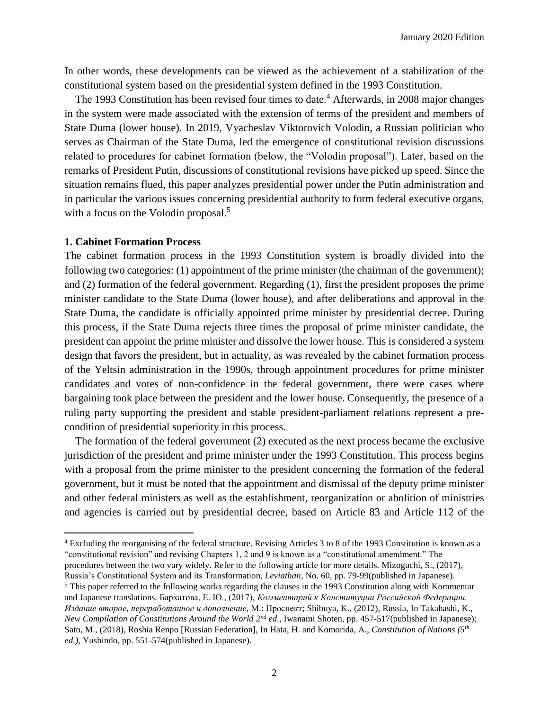In other words, these developments can be viewed as the achievement of a stabilization of the constitutional system based on the presidential system defined in the 1993 Constitution.

The 1993 Constitution has been revised four times to date.<sup>4</sup> Afterwards, in 2008 major changes in the system were made associated with the extension of terms of the president and members of State Duma (lower house). In 2019, Vyacheslav Viktorovich Volodin, a Russian politician who serves as Chairman of the State Duma, led the emergence of constitutional revision discussions related to procedures for cabinet formation (below, the "Volodin proposal"). Later, based on the remarks of President Putin, discussions of constitutional revisions have picked up speed. Since the situation remains flued, this paper analyzes presidential power under the Putin administration and in particular the various issues concerning presidential authority to form federal executive organs, with a focus on the Volodin proposal.<sup>5</sup>

#### **1. Cabinet Formation Process**

l

The cabinet formation process in the 1993 Constitution system is broadly divided into the following two categories: (1) appointment of the prime minister (the chairman of the government); and (2) formation of the federal government. Regarding (1), first the president proposes the prime minister candidate to the State Duma (lower house), and after deliberations and approval in the State Duma, the candidate is officially appointed prime minister by presidential decree. During this process, if the State Duma rejects three times the proposal of prime minister candidate, the president can appoint the prime minister and dissolve the lower house. This is considered a system design that favors the president, but in actuality, as was revealed by the cabinet formation process of the Yeltsin administration in the 1990s, through appointment procedures for prime minister candidates and votes of non-confidence in the federal government, there were cases where bargaining took place between the president and the lower house. Consequently, the presence of a ruling party supporting the president and stable president-parliament relations represent a precondition of presidential superiority in this process.

The formation of the federal government (2) executed as the next process became the exclusive jurisdiction of the president and prime minister under the 1993 Constitution. This process begins with a proposal from the prime minister to the president concerning the formation of the federal government, but it must be noted that the appointment and dismissal of the deputy prime minister and other federal ministers as well as the establishment, reorganization or abolition of ministries and agencies is carried out by presidential decree, based on Article 83 and Article 112 of the

<sup>4</sup> Excluding the reorganising of the federal structure. Revising Articles 3 to 8 of the 1993 Constitution is known as a "constitutional revision" and revising Chapters 1, 2 and 9 is known as a "constitutional amendment." The procedures between the two vary widely. Refer to the following article for more details. Mizoguchi, S., (2017),

Russia's Constitutional System and its Transformation, *Leviathan*, No. 60, pp. 79-99(published in Japanese). <sup>5</sup> This paper referred to the following works regarding the clauses in the 1993 Constitution along with Kommentar and Japanese translations. Бархатова, Е. Ю., (2017), *Комментарий к Конституции Российской Федерации. Издание второе, переработанное и дополнение*, М.: Проспект; Shibuya, K., (2012), Russia, In Takahashi, K., New Compilation of Constitutions Around the World 2<sup>nd</sup> ed., Iwanami Shoten, pp. 457-517(published in Japanese); Sato, M., (2018), Roshia Renpo [Russian Federation], In Hata, H. and Komorida, A., *Constitution of Nations (5th ed.)*, Yushindo, pp. 551-574(published in Japanese).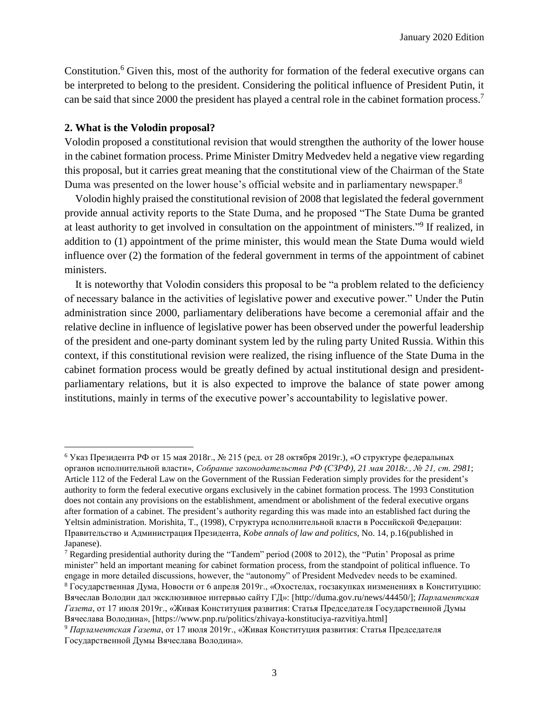Constitution.<sup>6</sup> Given this, most of the authority for formation of the federal executive organs can be interpreted to belong to the president. Considering the political influence of President Putin, it can be said that since 2000 the president has played a central role in the cabinet formation process. 7

#### **2. What is the Volodin proposal?**

 $\overline{a}$ 

Volodin proposed a constitutional revision that would strengthen the authority of the lower house in the cabinet formation process. Prime Minister Dmitry Medvedev held a negative view regarding this proposal, but it carries great meaning that the constitutional view of the Chairman of the State Duma was presented on the lower house's official website and in parliamentary newspaper.<sup>8</sup>

Volodin highly praised the constitutional revision of 2008 that legislated the federal government provide annual activity reports to the State Duma, and he proposed "The State Duma be granted at least authority to get involved in consultation on the appointment of ministers."<sup>9</sup> If realized, in addition to (1) appointment of the prime minister, this would mean the State Duma would wield influence over (2) the formation of the federal government in terms of the appointment of cabinet ministers.

It is noteworthy that Volodin considers this proposal to be "a problem related to the deficiency of necessary balance in the activities of legislative power and executive power." Under the Putin administration since 2000, parliamentary deliberations have become a ceremonial affair and the relative decline in influence of legislative power has been observed under the powerful leadership of the president and one-party dominant system led by the ruling party United Russia. Within this context, if this constitutional revision were realized, the rising influence of the State Duma in the cabinet formation process would be greatly defined by actual institutional design and presidentparliamentary relations, but it is also expected to improve the balance of state power among institutions, mainly in terms of the executive power's accountability to legislative power.

<sup>6</sup> Указ Президента РФ от 15 мая 2018г., № 215 (ред. от 28 октября 2019г.), «О структуре федеральных органов исполнительной власти», *Собрание законодательства РФ (СЗРФ), 21 мая 2018г., № 21, ст. 2981*; Article 112 of the Federal Law on the Government of the Russian Federation simply provides for the president's authority to form the federal executive organs exclusively in the cabinet formation process. The 1993 Constitution does not contain any provisions on the establishment, amendment or abolishment of the federal executive organs after formation of a cabinet. The president's authority regarding this was made into an established fact during the Yeltsin administration. Morishita, T., (1998), Структура исполнительной власти в Российской Федерации: Правительство и Администрация Президента, *Kobe annals of law and politics*, No. 14, p.16(published in Japanese).

<sup>7</sup> Regarding presidential authority during the "Tandem" period (2008 to 2012), the "Putin' Proposal as prime minister" held an important meaning for cabinet formation process, from the standpoint of political influence. To engage in more detailed discussions, however, the "autonomy" of President Medvedev needs to be examined.

<sup>8</sup> Государственная Дума, Новости от 6 апреля 2019г., «Охостелах, госзакупках иизменениях в Конституцию: Вячеслав Володин дал эксклюзивное интервью сайту ГД»: [http://duma.gov.ru/news/44450/]; *Парламентская Газета*, от 17 июля 2019г., «Живая Конституция развития: Статья Председателя Государственной Думы Вячеслава Володина», [https://www.pnp.ru/politics/zhivaya-konstituciya-razvitiya.html]

<sup>9</sup> *Парламентская Газета*, от 17 июля 2019г., «Живая Конституция развития: Статья Председателя Государственной Думы Вячеслава Володина».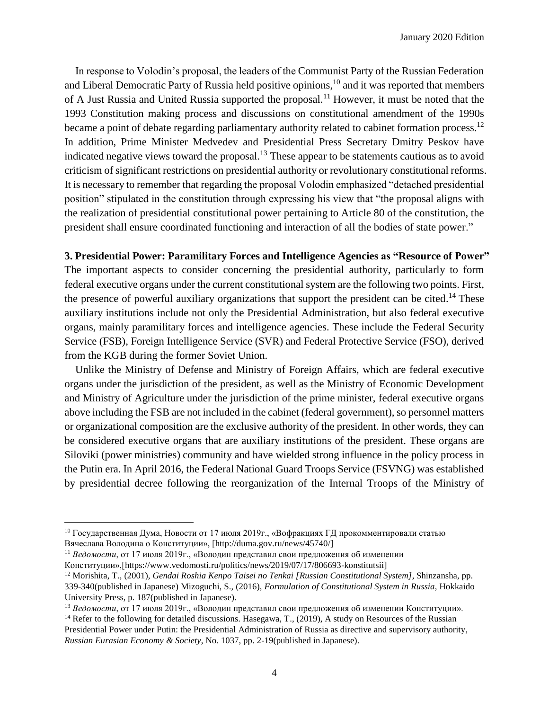In response to Volodin's proposal, the leaders of the Communist Party of the Russian Federation and Liberal Democratic Party of Russia held positive opinions,<sup>10</sup> and it was reported that members of A Just Russia and United Russia supported the proposal.<sup>11</sup> However, it must be noted that the 1993 Constitution making process and discussions on constitutional amendment of the 1990s became a point of debate regarding parliamentary authority related to cabinet formation process.<sup>12</sup> In addition, Prime Minister Medvedev and Presidential Press Secretary Dmitry Peskov have indicated negative views toward the proposal.<sup>13</sup> These appear to be statements cautious as to avoid criticism of significant restrictions on presidential authority or revolutionary constitutional reforms. It is necessary to remember that regarding the proposal Volodin emphasized "detached presidential position" stipulated in the constitution through expressing his view that "the proposal aligns with the realization of presidential constitutional power pertaining to Article 80 of the constitution, the president shall ensure coordinated functioning and interaction of all the bodies of state power."

### **3. Presidential Power: Paramilitary Forces and Intelligence Agencies as "Resource of Power"**

The important aspects to consider concerning the presidential authority, particularly to form federal executive organs under the current constitutional system are the following two points. First, the presence of powerful auxiliary organizations that support the president can be cited.<sup>14</sup> These auxiliary institutions include not only the Presidential Administration, but also federal executive organs, mainly paramilitary forces and intelligence agencies. These include the Federal Security Service (FSB), Foreign Intelligence Service (SVR) and Federal Protective Service (FSO), derived from the KGB during the former Soviet Union.

Unlike the Ministry of Defense and Ministry of Foreign Affairs, which are federal executive organs under the jurisdiction of the president, as well as the Ministry of Economic Development and Ministry of Agriculture under the jurisdiction of the prime minister, federal executive organs above including the FSB are not included in the cabinet (federal government), so personnel matters or organizational composition are the exclusive authority of the president. In other words, they can be considered executive organs that are auxiliary institutions of the president. These organs are Siloviki (power ministries) community and have wielded strong influence in the policy process in the Putin era. In April 2016, the Federal National Guard Troops Service (FSVNG) was established by presidential decree following the reorganization of the Internal Troops of the Ministry of

l

 $^{10}$  Государственная Дума, Новости от 17 июля 2019г., «Вофракциях ГД прокомментировали статью Вячеслава Володина о Конституции», [http://duma.gov.ru/news/45740/]

<sup>11</sup> *Ведомости*, от 17 июля 2019г., «Володин представил свои предложения об изменении Конституции»,[https://www.vedomosti.ru/politics/news/2019/07/17/806693-konstitutsii]

<sup>12</sup> Morishita, T., (2001), *Gendai Roshia Kenpo Taisei no Tenkai [Russian Constitutional System]*, Shinzansha, pp. 339-340(published in Japanese) Mizoguchi, S., (2016), *Formulation of Constitutional System in Russia*, Hokkaido University Press, p. 187(published in Japanese).

<sup>13</sup> *Ведомости*, от 17 июля 2019г., «Володин представил свои предложения об изменении Конституции».

<sup>&</sup>lt;sup>14</sup> Refer to the following for detailed discussions. Hasegawa, T., (2019), A study on Resources of the Russian Presidential Power under Putin: the Presidential Administration of Russia as directive and supervisory authority, *Russian Eurasian Economy & Society*, No. 1037, pp. 2-19(published in Japanese).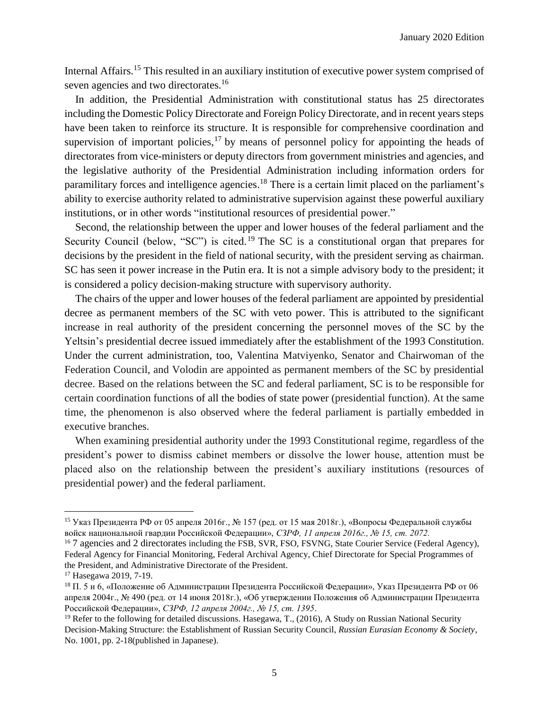Internal Affairs.<sup>15</sup> This resulted in an auxiliary institution of executive power system comprised of seven agencies and two directorates.<sup>16</sup>

In addition, the Presidential Administration with constitutional status has 25 directorates including the Domestic Policy Directorate and Foreign Policy Directorate, and in recent years steps have been taken to reinforce its structure. It is responsible for comprehensive coordination and supervision of important policies,  $17$  by means of personnel policy for appointing the heads of directorates from vice-ministers or deputy directors from government ministries and agencies, and the legislative authority of the Presidential Administration including information orders for paramilitary forces and intelligence agencies.<sup>18</sup> There is a certain limit placed on the parliament's ability to exercise authority related to administrative supervision against these powerful auxiliary institutions, or in other words "institutional resources of presidential power."

Second, the relationship between the upper and lower houses of the federal parliament and the Security Council (below, "SC") is cited.<sup>19</sup> The SC is a constitutional organ that prepares for decisions by the president in the field of national security, with the president serving as chairman. SC has seen it power increase in the Putin era. It is not a simple advisory body to the president; it is considered a policy decision-making structure with supervisory authority.

The chairs of the upper and lower houses of the federal parliament are appointed by presidential decree as permanent members of the SC with veto power. This is attributed to the significant increase in real authority of the president concerning the personnel moves of the SC by the Yeltsin's presidential decree issued immediately after the establishment of the 1993 Constitution. Under the current administration, too, Valentina Matviyenko, Senator and Chairwoman of the Federation Council, and Volodin are appointed as permanent members of the SC by presidential decree. Based on the relations between the SC and federal parliament, SC is to be responsible for certain coordination functions of all the bodies of state power (presidential function). At the same time, the phenomenon is also observed where the federal parliament is partially embedded in executive branches.

When examining presidential authority under the 1993 Constitutional regime, regardless of the president's power to dismiss cabinet members or dissolve the lower house, attention must be placed also on the relationship between the president's auxiliary institutions (resources of presidential power) and the federal parliament.

 $\overline{a}$ 

<sup>15</sup> Указ Президента РФ от 05 апреля 2016г., № 157 (ред. от 15 мая 2018г.), «Вопросы Федеральной службы войск национальной гвардии Российской Федерации», *СЗРФ, 11 апреля 2016г., № 15, ст. 2072.*

<sup>&</sup>lt;sup>16</sup> 7 agencies and 2 directorates including the FSB, SVR, FSO, FSVNG, State Courier Service (Federal Agency), Federal Agency for Financial Monitoring, Federal Archival Agency, Chief Directorate for Special Programmes of the President, and Administrative Directorate of the President.

<sup>17</sup> Hasegawa 2019, 7-19.

<sup>18</sup> П. 5 и 6, «Положение об Администрации Президента Российской Федерации», Указ Президента РФ от 06 апреля 2004г., № 490 (ред. от 14 июня 2018г.), «Об утверждении Положения об Администрации Президента Российской Федерации», *СЗРФ, 12 апреля 2004г., № 15, ст. 1395*.

<sup>&</sup>lt;sup>19</sup> Refer to the following for detailed discussions. Hasegawa, T., (2016), A Study on Russian National Security Decision-Making Structure: the Establishment of Russian Security Council, *Russian Eurasian Economy & Society*, No. 1001, pp. 2-18(published in Japanese).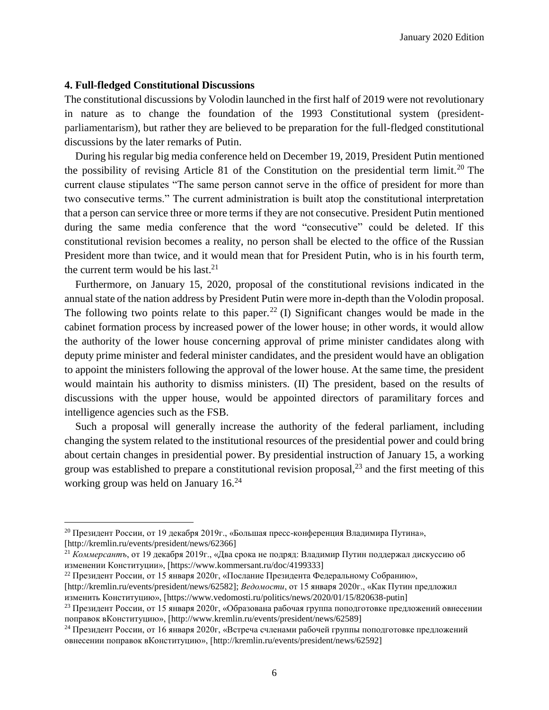#### **4. Full-fledged Constitutional Discussions**

l

The constitutional discussions by Volodin launched in the first half of 2019 were not revolutionary in nature as to change the foundation of the 1993 Constitutional system (presidentparliamentarism), but rather they are believed to be preparation for the full-fledged constitutional discussions by the later remarks of Putin.

During his regular big media conference held on December 19, 2019, President Putin mentioned the possibility of revising Article 81 of the Constitution on the presidential term limit.<sup>20</sup> The current clause stipulates "The same person cannot serve in the office of president for more than two consecutive terms." The current administration is built atop the constitutional interpretation that a person can service three or more terms if they are not consecutive. President Putin mentioned during the same media conference that the word "consecutive" could be deleted. If this constitutional revision becomes a reality, no person shall be elected to the office of the Russian President more than twice, and it would mean that for President Putin, who is in his fourth term, the current term would be his last. $2<sup>1</sup>$ 

Furthermore, on January 15, 2020, proposal of the constitutional revisions indicated in the annual state of the nation address by President Putin were more in-depth than the Volodin proposal. The following two points relate to this paper.<sup>22</sup> (I) Significant changes would be made in the cabinet formation process by increased power of the lower house; in other words, it would allow the authority of the lower house concerning approval of prime minister candidates along with deputy prime minister and federal minister candidates, and the president would have an obligation to appoint the ministers following the approval of the lower house. At the same time, the president would maintain his authority to dismiss ministers. (II) The president, based on the results of discussions with the upper house, would be appointed directors of paramilitary forces and intelligence agencies such as the FSB.

Such a proposal will generally increase the authority of the federal parliament, including changing the system related to the institutional resources of the presidential power and could bring about certain changes in presidential power. By presidential instruction of January 15, a working group was established to prepare a constitutional revision proposal, $^{23}$  and the first meeting of this working group was held on January 16.<sup>24</sup>

<sup>20</sup> Президент России, от 19 декабря 2019г., «Большая пресс-конференция Владимира Путина», [http://kremlin.ru/events/president/news/62366]

<sup>21</sup> *Коммерсантъ*, от 19 декабря 2019г., «Два срока не подряд: Владимир Путин поддержал дискуссию об изменении Конституции», [https://www.kommersant.ru/doc/4199333]

<sup>&</sup>lt;sup>22</sup> Президент России, от 15 января 2020г, «Послание Президента Федеральному Собранию»,

<sup>[</sup>http://kremlin.ru/events/president/news/62582]; *Ведомости*, от 15 января 2020г., «Как Путин предложил изменить Конституцию», [https://www.vedomosti.ru/politics/news/2020/01/15/820638-putin]

<sup>&</sup>lt;sup>23</sup> Презилент России, от 15 января 2020г, «Образована рабочая группа поподготовке предложений овнесении поправок вКонституцию», [http://www.kremlin.ru/events/president/news/62589]

<sup>&</sup>lt;sup>24</sup> Президент России, от 16 января 2020г, «Встреча счленами рабочей группы поподготовке предложений овнесении поправок вКонституцию», [http://kremlin.ru/events/president/news/62592]